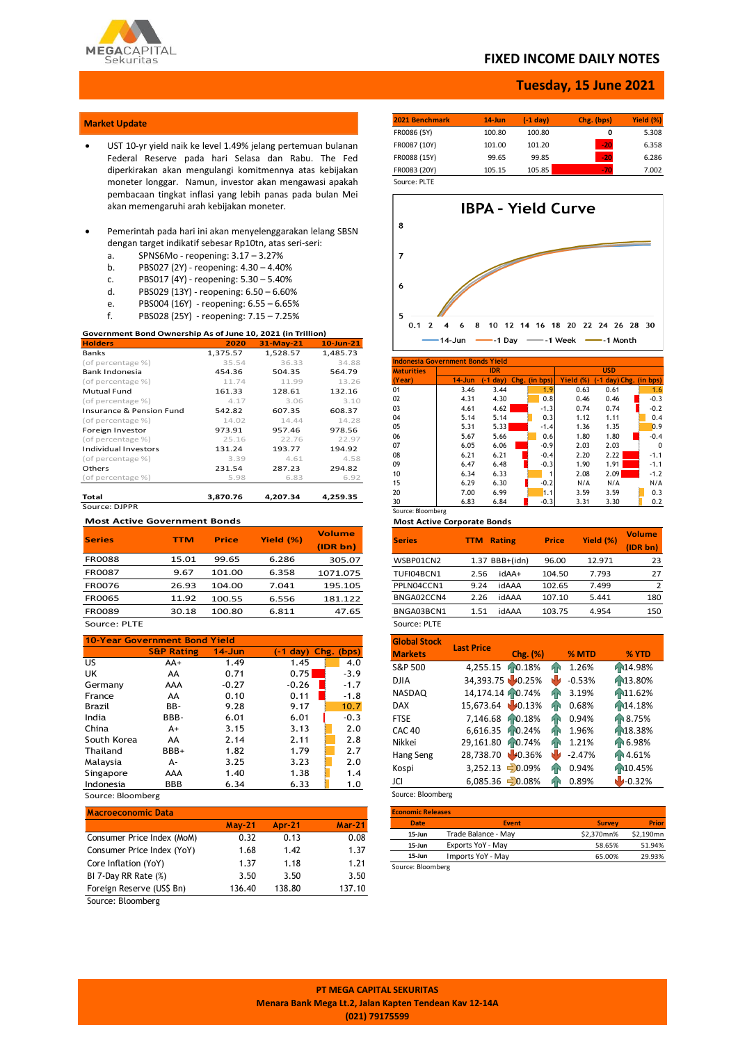

## **FIXED INCOME DAILY NOTES**

## **Tuesday, 15 June 2021**

### **Market Update**

- UST 10-yr yield naik ke level 1.49% jelang pertemuan bulanan Federal Reserve pada hari Selasa dan Rabu. The Fed diperkirakan akan mengulangi komitmennya atas kebijakan moneter longgar. Namun, investor akan mengawasi apakah pembacaan tingkat inflasi yang lebih panas pada bulan Mei akan memengaruhi arah kebijakan moneter.
- Pemerintah pada hari ini akan menyelenggarakan lelang SBSN dengan target indikatif sebesar Rp10tn, atas seri-seri:
	- a. SPNS6Mo reopening: 3.17 3.27%
	- b. PBS027 (2Y) reopening: 4.30 4.40%
	- c. PBS017 (4Y) reopening: 5.30 5.40%<br>d. PBS029 (13Y) reopening: 6.50 6.609
	- PBS029 (13Y) reopening: 6.50 6.60%
	- e. PBS004 (16Y) reopening: 6.55 6.65%
	- f. PBS028 (25Y) reopening: 7.15 7.25%

#### **Government Bond Ownership As of June 10, 2021 (in Trillion) Holders 2020 31-May-21 10-Jun-21** Banks 1,375.57 1,528.57 1,485.73 (of percentage %) 35.54 36.33 34.88 Bank Indonesia<br>
Bank Indonesia<br>
(of percentage %)<br>  $454.36$ <br>  $504.35$ <br>  $564.79$ <br>  $11.74$ <br>  $11.99$ <br>  $13.26$ em 11.74 11.99 13.26<br>
(of percentage %) 11.74 11.99 13.26<br>
Mutual Fund 161.33 128.61 132.16 Mutual Fund (of percentage %)  $4.17$   $3.06$   $3.10$ <br>
Insurance & Pension Fund 542.82 607.35 608.37 **Insurance & Pension Fund** 542.82 607.35 608.37<br>(of percentage %) 14.02 14.44 14.28 (of percentage %)  $14.02$   $14.44$   $14.28$ <br>
Foreign Investor 973.91 957.46 978.56 **Foreign Investor** 973.91 957.46<br>
(of percentage %) 25.16 22.76 (of percentage %) <br> **131.24** 22.76 22.97<br> **194.92** 293.77 194.92 Individual Investors 131.24 193.77<br>  $( \text{of} \text{ percentage } \% )$  2.39  $4.61$ (of percentage %) 3.39 4.61 4.58 Others 231.54 287.23 294.82<br>
(of percentage %) 5,98 6,83 6,92 (of percentage %)  $5.98$  6.83 **Total 3,870.76 4,207.34 4,259.35**

Source: DJPPR

### **Most Active Government Bonds**

| <b>Series</b>  | <b>TTM</b> | <b>Price</b> | Yield (%) | <b>Volume</b> |
|----------------|------------|--------------|-----------|---------------|
|                |            |              |           | (IDR bn)      |
| <b>FR0088</b>  | 15.01      | 99.65        | 6.286     | 305.07        |
| <b>FR0087</b>  | 9.67       | 101.00       | 6.358     | 1071.075      |
| <b>FR0076</b>  | 26.93      | 104.00       | 7.041     | 195.105       |
| <b>FR0065</b>  | 11.92      | 100.55       | 6.556     | 181.122       |
| <b>FR0089</b>  | 30.18      | 100.80       | 6.811     | 47.65         |
| $C_{\text{O}}$ |            |              |           |               |

ource: PLTE

| <b>10-Year Government Bond Yield</b> |                       |            |            |            |  |  |  |  |
|--------------------------------------|-----------------------|------------|------------|------------|--|--|--|--|
|                                      | <b>S&amp;P Rating</b> | $14 - Jun$ | $(-1 day)$ | Chg. (bps) |  |  |  |  |
| US.                                  | AA+                   | 1.49       | 1.45       | 4.0        |  |  |  |  |
| UK                                   | AA                    | 0.71       | 0.75       | $-3.9$     |  |  |  |  |
| Germany                              | AAA                   | $-0.27$    | $-0.26$    | $-1.7$     |  |  |  |  |
| France                               | AA                    | 0.10       | 0.11       | $-1.8$     |  |  |  |  |
| Brazil                               | BB-                   | 9.28       | 9.17       | 10.7       |  |  |  |  |
| India                                | BBB-                  | 6.01       | 6.01       | $-0.3$     |  |  |  |  |
| China                                | $A+$                  | 3.15       | 3.13       | 2.0        |  |  |  |  |
| South Korea                          | AA                    | 2.14       | 2.11       | 2.8        |  |  |  |  |
| Thailand                             | BBB+                  | 1.82       | 1.79       | 2.7        |  |  |  |  |
| Malaysia                             | А-                    | 3.25       | 3.23       | 2.0        |  |  |  |  |
| Singapore                            | AAA                   | 1.40       | 1.38       | 1.4        |  |  |  |  |
| Indonesia                            | BBB                   | 6.34       | 6.33       | 1.0        |  |  |  |  |
| Causes: Disambosa                    |                       |            |            |            |  |  |  |  |

Source: Bloomberg

| <b>Macroeconomic Data</b>  |          |               |          |
|----------------------------|----------|---------------|----------|
|                            | $May-21$ | <b>Apr-21</b> | $Mar-21$ |
| Consumer Price Index (MoM) | 0.32     | 0.13          | 0.08     |
| Consumer Price Index (YoY) | 1.68     | 1.42          | 1.37     |
| Core Inflation (YoY)       | 1.37     | 1.18          | 1.21     |
| BI 7-Day RR Rate (%)       | 3.50     | 3.50          | 3.50     |
| Foreign Reserve (US\$ Bn)  | 136.40   | 138.80        | 137.10   |
| ---<br>$\sim$ $\sim$       |          |               |          |

Source: Bloomberg

| 2021 Benchmark | $14$ -Jun | $(-1)$ day) | Chg. (bps) | Yield (%) |
|----------------|-----------|-------------|------------|-----------|
| FR0086 (5Y)    | 100.80    | 100.80      | 0          | 5.308     |
| FR0087 (10Y)   | 101.00    | 101.20      | $-20$      | 6.358     |
| FR0088 (15Y)   | 99.65     | 99.85       | $-20$      | 6.286     |
| FR0083 (20Y)   | 105.15    | 105.85      | -70        | 7.002     |
| Source: PLTE   |           |             |            |           |



| <b>Indonesia Government Bonds Yield</b> |            |            |  |               |           |                       |        |  |
|-----------------------------------------|------------|------------|--|---------------|-----------|-----------------------|--------|--|
| <b>Maturities</b>                       |            | <b>IDR</b> |  | <b>USD</b>    |           |                       |        |  |
| (Year)                                  | $14 - Jun$ | $-1$ day)  |  | Chg. (in bps) | Yield (%) | -1 day) Chg. (in bps) |        |  |
| 01                                      | 3.46       | 3.44       |  | 1.9           | 0.63      | 0.61                  | 1.6    |  |
| 02                                      | 4.31       | 4.30       |  | 0.8           | 0.46      | 0.46                  | $-0.3$ |  |
| 03                                      | 4.61       | 4.62       |  | $-1.3$        | 0.74      | 0.74                  | $-0.2$ |  |
| 04                                      | 5.14       | 5.14       |  | 0.3           | 1.12      | 1.11                  | 0.4    |  |
| 05                                      | 5.31       | 5.33       |  | $-1.4$        | 1.36      | 1.35                  | 0.9    |  |
| 06                                      | 5.67       | 5.66       |  | 0.6           | 1.80      | 1.80                  | $-0.4$ |  |
| 07                                      | 6.05       | 6.06       |  | $-0.9$        | 2.03      | 2.03                  | 0      |  |
| 08                                      | 6.21       | 6.21       |  | $-0.4$        | 2.20      | 2.22                  | $-1.1$ |  |
| 09                                      | 6.47       | 6.48       |  | $-0.3$        | 1.90      | 1.91                  | $-1.1$ |  |
| 10                                      | 6.34       | 6.33       |  |               | 2.08      | 2.09                  | $-1.2$ |  |
| 15                                      | 6.29       | 6.30       |  | $-0.2$        | N/A       | N/A                   | N/A    |  |
| 20                                      | 7.00       | 6.99       |  | 1.1           | 3.59      | 3.59                  | 0.3    |  |
| 30                                      | 6.83       | 6.84       |  | $-0.3$        | 3.31      | 3.30                  | 0.2    |  |
| Source: Bloomberg                       |            |            |  |               |           |                       |        |  |

#### **Most Active Corporate Bonds**

| <b>Series</b> | <b>Rating</b><br><b>TTM</b> | <b>Price</b> | Yield (%) | Volume<br>(IDR bn)      |
|---------------|-----------------------------|--------------|-----------|-------------------------|
| WSBP01CN2     | 1.37 BBB+(idn)              | 96.00        | 12.971    | 23                      |
| TUFI04BCN1    | +AAbi<br>2.56               | 104.50       | 7.793     | 27                      |
| PPLN04CCN1    | idAAA<br>9.24               | 102.65       | 7.499     | $\overline{\mathbf{c}}$ |
| BNGA02CCN4    | idAAA<br>2.26               | 107.10       | 5.441     | 180                     |
| BNGA03BCN1    | idAAA<br>1.51               | 103.75       | 4.954     | 150                     |
| Source: PLTE  |                             |              |           |                         |

| <b>Global Stock</b><br><b>Markets</b> | <b>Last Price</b>  | Chg. (%)            |     | % MTD    | % YTD                 |
|---------------------------------------|--------------------|---------------------|-----|----------|-----------------------|
| S&P 500                               | 4,255.15           | 10.18%              | ЙŃ  | 1.26%    | AN14.98%              |
| <b>DJIA</b>                           | 34,393.75 40.25%   |                     | رال | $-0.53%$ | 13.80%                |
| <b>NASDAQ</b>                         | 14,174.14 0.74%    |                     | ЙŃ  | 3.19%    | 11.62%                |
| <b>DAX</b>                            | 15,673.64          | 10.13%              | ЙÑ  | 0.68%    | h <sub>N</sub> 14.18% |
| <b>FTSE</b>                           | 7,146.68           | 10.18%              | ЙÑ  | 0.94%    | 18.75%                |
| <b>CAC 40</b>                         | 6,616.35           | hr0.24%             | ЙÑ  | 1.96%    | FP18.38%              |
| Nikkei                                | 29,161.80          | h <sub>0.74</sub> % | ЙŃ  | 1.21%    | AP 6.98%              |
| Hang Seng                             | 28,738.70          | 140.36%             |     | $-2.47%$ | Fr 4.61%              |
| Kospi                                 | 3,252.13           | $-0.09%$            | ЙN  | 0.94%    | 10.45%                |
| JCI                                   | $6,085.36 - 0.08%$ |                     | ЙΝ  | 0.89%    | $-0.32%$              |

Source: Bloomberg

| <b>Economic Releases</b> |                     |               |              |  |  |  |  |  |
|--------------------------|---------------------|---------------|--------------|--|--|--|--|--|
| <b>Date</b>              | <b>Event</b>        | <b>Survey</b> | <b>Prior</b> |  |  |  |  |  |
| $15$ -Jun                | Trade Balance - May | \$2.370mn%    | \$2,190mn    |  |  |  |  |  |
| $15$ -Jun                | Exports YoY - May   | 58.65%        | 51.94%       |  |  |  |  |  |
| $15$ -Jun                | Imports YoY - May   | 65.00%        | 29.93%       |  |  |  |  |  |
|                          | Source: Bloomberg   |               |              |  |  |  |  |  |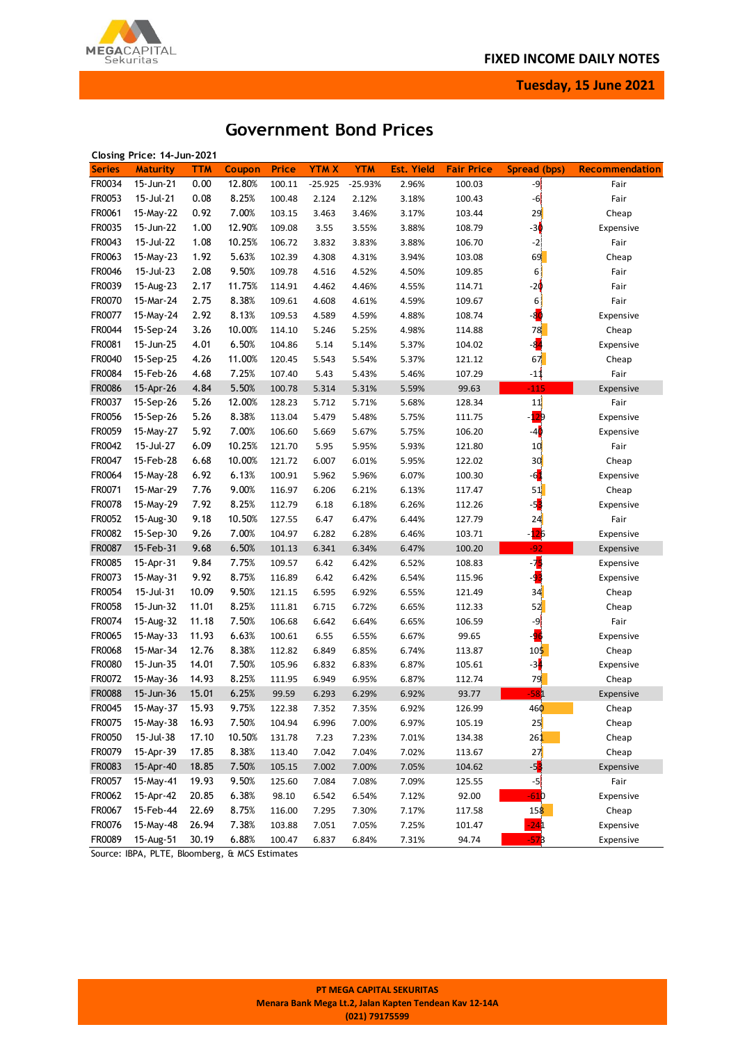

**Tuesday, 15 June 2021**

# **Government Bond Prices**

| <b>YTMX</b><br><b>YTM</b><br><b>Est. Yield</b><br><b>Fair Price</b><br><b>Series</b><br>TTM<br>Coupon<br><b>Price</b><br>Spread (bps)<br>Recommendation<br><b>Maturity</b><br>FR0034<br>15-Jun-21<br>0.00<br>12.80%<br>$-25.93%$<br>2.96%<br>-9<br>100.11<br>$-25.925$<br>100.03<br>Fair<br>FR0053<br>15-Jul-21<br>0.08<br>8.25%<br>$-6$<br>100.48<br>2.124<br>2.12%<br>3.18%<br>100.43<br>Fair<br>FR0061<br>0.92<br>7.00%<br>29<br>15-May-22<br>103.15<br>3.463<br>3.46%<br>3.17%<br>103.44<br>Cheap<br>$-30$<br>FR0035<br>15-Jun-22<br>12.90%<br>1.00<br>109.08<br>3.55<br>3.55%<br>3.88%<br>108.79<br>Expensive<br>FR0043<br>15-Jul-22<br>1.08<br>10.25%<br>106.72<br>3.832<br>3.83%<br>3.88%<br>106.70<br>$-2$<br>Fair<br>FR0063<br>1.92<br>5.63%<br>69<br>15-May-23<br>4.308<br>4.31%<br>3.94%<br>103.08<br>102.39<br>Cheap<br>FR0046<br>2.08<br>9.50%<br>15-Jul-23<br>109.78<br>4.516<br>4.52%<br>4.50%<br>109.85<br>$6 \mid$<br>Fair<br>FR0039<br>2.17<br>11.75%<br>$-2\phi$<br>15-Aug-23<br>114.91<br>4.462<br>4.46%<br>4.55%<br>114.71<br>Fair<br>FR0070<br>2.75<br>8.38%<br>15-Mar-24<br>109.61<br>4.608<br>4.61%<br>4.59%<br>109.67<br>6 <br>Fair<br>FR0077<br>2.92<br>8.13%<br>15-May-24<br>109.53<br>4.589<br>4.59%<br>80<br>4.88%<br>108.74<br>Expensive<br>FR0044<br>3.26<br>10.00%<br>15-Sep-24<br>5.246<br>5.25%<br>4.98%<br>114.88<br>78<br>114.10<br>Cheap<br>FR0081<br>-84<br>4.01<br>6.50%<br>15-Jun-25<br>104.02<br>104.86<br>5.14<br>5.14%<br>5.37%<br>Expensive<br>FR0040<br>4.26<br>11.00%<br>15-Sep-25<br>120.45<br>5.543<br>67<br>5.54%<br>5.37%<br>121.12<br>Cheap<br>FR0084<br>15-Feb-26<br>4.68<br>7.25%<br>5.43%<br>107.29<br>$-11$<br>107.40<br>5.43<br>5.46%<br>Fair<br><b>FR0086</b><br>5.50%<br>$-115$<br>15-Apr-26<br>4.84<br>5.314<br>5.31%<br>5.59%<br>99.63<br>100.78<br>Expensive<br>11<br>FR0037<br>15-Sep-26<br>5.26<br>12.00%<br>128.34<br>128.23<br>5.712<br>5.71%<br>5.68%<br>Fair<br>FR0056<br>8.38%<br>-129<br>15-Sep-26<br>5.26<br>113.04<br>5.48%<br>5.479<br>5.75%<br>111.75<br>Expensive<br>FR0059<br>5.92<br>7.00%<br>15-May-27<br>106.60<br>106.20<br>$-4$<br>5.669<br>5.67%<br>5.75%<br>Expensive<br>FR0042<br>15-Jul-27<br>6.09<br>10.25%<br>5.95<br>5.93%<br>121.80<br>10 <sub>l</sub><br>121.70<br>5.95%<br>Fair<br>FR0047<br>15-Feb-28<br>6.68<br>10.00%<br>30 <sub>l</sub><br>6.007<br>5.95%<br>122.02<br>121.72<br>6.01%<br>Cheap<br>FR0064<br>6.92<br>6.13%<br>-61<br>15-May-28<br>100.91<br>5.962<br>5.96%<br>6.07%<br>100.30<br>Expensive<br>FR0071<br>15-Mar-29<br>7.76<br>9.00%<br>116.97<br>6.206<br>6.21%<br>6.13%<br>117.47<br>51<br>Cheap<br>-5<br>FR0078<br>7.92<br>8.25%<br>15-May-29<br>112.79<br>6.18%<br>6.26%<br>112.26<br>Expensive<br>6.18<br>FR0052<br>10.50%<br>24<br>15-Aug-30<br>9.18<br>127.55<br>6.47%<br>6.44%<br>127.79<br>Fair<br>6.47<br>FR0082<br>15-Sep-30<br>9.26<br>7.00%<br>104.97<br>6.282<br>6.28%<br>6.46%<br>103.71<br>- <mark>12</mark> 6<br>Expensive<br><b>FR0087</b><br>15-Feb-31<br>9.68<br>6.50%<br>101.13<br>6.341<br>6.34%<br>6.47%<br>100.20<br>$-92$<br>Expensive<br>- 7 <mark>5</mark><br>FR0085<br>7.75%<br>15-Apr-31<br>9.84<br>109.57<br>6.42%<br>108.83<br>6.42<br>6.52%<br>Expensive<br>FR0073<br>9.92<br>8.75%<br>-93<br>15-May-31<br>116.89<br>6.42%<br>6.54%<br>115.96<br>6.42<br>Expensive<br>FR0054<br>15-Jul-31<br>9.50%<br>34<br>10.09<br>6.595<br>6.92%<br>6.55%<br>121.49<br>121.15<br>Cheap<br>FR0058<br>15-Jun-32<br>11.01<br>8.25%<br>52<br>111.81<br>6.715<br>6.72%<br>6.65%<br>112.33<br>Cheap<br>FR0074<br>11.18<br>7.50%<br>-9<br>15-Aug-32<br>106.68<br>6.642<br>6.64%<br>6.65%<br>106.59<br>Fair<br>FR0065<br>11.93<br>6.63%<br>15-May-33<br>100.61<br>6.55%<br>6.67%<br>99.65<br>-96<br>6.55<br>Expensive<br>FR0068<br>12.76<br>8.38%<br>15-Mar-34<br>112.82<br>6.849<br>6.85%<br>113.87<br>105<br>6.74%<br>Cheap<br><b>FR0080</b><br>14.01<br>7.50%<br>$-3\frac{1}{2}$<br>15-Jun-35<br>105.96<br>6.832<br>6.83%<br>6.87%<br>105.61<br>Expensive<br>FR0072<br>8.25%<br>15-May-36<br>14.93<br>111.95<br>6.949<br>6.95%<br>6.87%<br>112.74<br>79<br>Cheap<br><b>FR0088</b><br>15.01<br>6.25%<br>15-Jun-36<br>99.59<br>6.293<br>6.29%<br>6.92%<br>93.77<br>-581<br>Expensive<br>9.75%<br>FR0045<br>15-May-37<br>15.93<br>7.352<br>122.38<br>7.35%<br>6.92%<br>126.99<br>Cheap<br>460<br>25<br>FR0075<br>7.50%<br>15-May-38<br>16.93<br>7.00%<br>6.97%<br>104.94<br>6.996<br>105.19<br>Cheap<br>15-Jul-38<br>FR0050<br>17.10<br>10.50%<br>261<br>131.78<br>7.23<br>7.23%<br>7.01%<br>Cheap<br>134.38<br>FR0079<br>15-Apr-39<br>17.85<br>8.38%<br>27<br>113.40<br>7.042<br>7.04%<br>7.02%<br>113.67<br>Cheap<br>$-5$<br>FR0083<br>15-Apr-40<br>18.85<br>7.50%<br>7.002<br>7.00%<br>7.05%<br>104.62<br>Expensive<br>105.15<br>$-5$<br>FR0057<br>15-May-41<br>19.93<br>9.50%<br>125.60<br>7.084<br>7.08%<br>7.09%<br>Fair<br>125.55<br>FR0062<br>15-Apr-42<br>20.85<br>6.38%<br>$-610$<br>98.10<br>6.542<br>6.54%<br>7.12%<br>92.00<br>Expensive<br>FR0067<br>15-Feb-44<br>22.69<br>8.75%<br>116.00<br>7.295<br>7.30%<br>7.17%<br>117.58<br>158<br>Cheap<br>FR0076<br>15-May-48<br>26.94<br>7.38%<br>103.88<br>7.051<br>7.05%<br>7.25%<br>101.47<br>$-241$<br>Expensive |        | Closing Price: 14-Jun-2021 |       |       |        |       |       |       |       |       |           |
|-----------------------------------------------------------------------------------------------------------------------------------------------------------------------------------------------------------------------------------------------------------------------------------------------------------------------------------------------------------------------------------------------------------------------------------------------------------------------------------------------------------------------------------------------------------------------------------------------------------------------------------------------------------------------------------------------------------------------------------------------------------------------------------------------------------------------------------------------------------------------------------------------------------------------------------------------------------------------------------------------------------------------------------------------------------------------------------------------------------------------------------------------------------------------------------------------------------------------------------------------------------------------------------------------------------------------------------------------------------------------------------------------------------------------------------------------------------------------------------------------------------------------------------------------------------------------------------------------------------------------------------------------------------------------------------------------------------------------------------------------------------------------------------------------------------------------------------------------------------------------------------------------------------------------------------------------------------------------------------------------------------------------------------------------------------------------------------------------------------------------------------------------------------------------------------------------------------------------------------------------------------------------------------------------------------------------------------------------------------------------------------------------------------------------------------------------------------------------------------------------------------------------------------------------------------------------------------------------------------------------------------------------------------------------------------------------------------------------------------------------------------------------------------------------------------------------------------------------------------------------------------------------------------------------------------------------------------------------------------------------------------------------------------------------------------------------------------------------------------------------------------------------------------------------------------------------------------------------------------------------------------------------------------------------------------------------------------------------------------------------------------------------------------------------------------------------------------------------------------------------------------------------------------------------------------------------------------------------------------------------------------------------------------------------------------------------------------------------------------------------------------------------------------------------------------------------------------------------------------------------------------------------------------------------------------------------------------------------------------------------------------------------------------------------------------------------------------------------------------------------------------------------------------------------------------------------------------------------------------------------------------------------------------------------------------------------------------------------------------------------------------------------------------------------------------------------------------------------------------------------------------------------------------------------------------------------------------------------------------------------------------------------------------------------------------------------------------------------------------------------------------------------------------------------------------------------------------------------------------------------------------------------------------------------------------------------------------------------------------------------------------------------------------------------------------------------------------------------------------------------------------------------------------------------------------------------------|--------|----------------------------|-------|-------|--------|-------|-------|-------|-------|-------|-----------|
|                                                                                                                                                                                                                                                                                                                                                                                                                                                                                                                                                                                                                                                                                                                                                                                                                                                                                                                                                                                                                                                                                                                                                                                                                                                                                                                                                                                                                                                                                                                                                                                                                                                                                                                                                                                                                                                                                                                                                                                                                                                                                                                                                                                                                                                                                                                                                                                                                                                                                                                                                                                                                                                                                                                                                                                                                                                                                                                                                                                                                                                                                                                                                                                                                                                                                                                                                                                                                                                                                                                                                                                                                                                                                                                                                                                                                                                                                                                                                                                                                                                                                                                                                                                                                                                                                                                                                                                                                                                                                                                                                                                                                                                                                                                                                                                                                                                                                                                                                                                                                                                                                                                                                                                                     |        |                            |       |       |        |       |       |       |       |       |           |
|                                                                                                                                                                                                                                                                                                                                                                                                                                                                                                                                                                                                                                                                                                                                                                                                                                                                                                                                                                                                                                                                                                                                                                                                                                                                                                                                                                                                                                                                                                                                                                                                                                                                                                                                                                                                                                                                                                                                                                                                                                                                                                                                                                                                                                                                                                                                                                                                                                                                                                                                                                                                                                                                                                                                                                                                                                                                                                                                                                                                                                                                                                                                                                                                                                                                                                                                                                                                                                                                                                                                                                                                                                                                                                                                                                                                                                                                                                                                                                                                                                                                                                                                                                                                                                                                                                                                                                                                                                                                                                                                                                                                                                                                                                                                                                                                                                                                                                                                                                                                                                                                                                                                                                                                     |        |                            |       |       |        |       |       |       |       |       |           |
|                                                                                                                                                                                                                                                                                                                                                                                                                                                                                                                                                                                                                                                                                                                                                                                                                                                                                                                                                                                                                                                                                                                                                                                                                                                                                                                                                                                                                                                                                                                                                                                                                                                                                                                                                                                                                                                                                                                                                                                                                                                                                                                                                                                                                                                                                                                                                                                                                                                                                                                                                                                                                                                                                                                                                                                                                                                                                                                                                                                                                                                                                                                                                                                                                                                                                                                                                                                                                                                                                                                                                                                                                                                                                                                                                                                                                                                                                                                                                                                                                                                                                                                                                                                                                                                                                                                                                                                                                                                                                                                                                                                                                                                                                                                                                                                                                                                                                                                                                                                                                                                                                                                                                                                                     |        |                            |       |       |        |       |       |       |       |       |           |
|                                                                                                                                                                                                                                                                                                                                                                                                                                                                                                                                                                                                                                                                                                                                                                                                                                                                                                                                                                                                                                                                                                                                                                                                                                                                                                                                                                                                                                                                                                                                                                                                                                                                                                                                                                                                                                                                                                                                                                                                                                                                                                                                                                                                                                                                                                                                                                                                                                                                                                                                                                                                                                                                                                                                                                                                                                                                                                                                                                                                                                                                                                                                                                                                                                                                                                                                                                                                                                                                                                                                                                                                                                                                                                                                                                                                                                                                                                                                                                                                                                                                                                                                                                                                                                                                                                                                                                                                                                                                                                                                                                                                                                                                                                                                                                                                                                                                                                                                                                                                                                                                                                                                                                                                     |        |                            |       |       |        |       |       |       |       |       |           |
|                                                                                                                                                                                                                                                                                                                                                                                                                                                                                                                                                                                                                                                                                                                                                                                                                                                                                                                                                                                                                                                                                                                                                                                                                                                                                                                                                                                                                                                                                                                                                                                                                                                                                                                                                                                                                                                                                                                                                                                                                                                                                                                                                                                                                                                                                                                                                                                                                                                                                                                                                                                                                                                                                                                                                                                                                                                                                                                                                                                                                                                                                                                                                                                                                                                                                                                                                                                                                                                                                                                                                                                                                                                                                                                                                                                                                                                                                                                                                                                                                                                                                                                                                                                                                                                                                                                                                                                                                                                                                                                                                                                                                                                                                                                                                                                                                                                                                                                                                                                                                                                                                                                                                                                                     |        |                            |       |       |        |       |       |       |       |       |           |
|                                                                                                                                                                                                                                                                                                                                                                                                                                                                                                                                                                                                                                                                                                                                                                                                                                                                                                                                                                                                                                                                                                                                                                                                                                                                                                                                                                                                                                                                                                                                                                                                                                                                                                                                                                                                                                                                                                                                                                                                                                                                                                                                                                                                                                                                                                                                                                                                                                                                                                                                                                                                                                                                                                                                                                                                                                                                                                                                                                                                                                                                                                                                                                                                                                                                                                                                                                                                                                                                                                                                                                                                                                                                                                                                                                                                                                                                                                                                                                                                                                                                                                                                                                                                                                                                                                                                                                                                                                                                                                                                                                                                                                                                                                                                                                                                                                                                                                                                                                                                                                                                                                                                                                                                     |        |                            |       |       |        |       |       |       |       |       |           |
|                                                                                                                                                                                                                                                                                                                                                                                                                                                                                                                                                                                                                                                                                                                                                                                                                                                                                                                                                                                                                                                                                                                                                                                                                                                                                                                                                                                                                                                                                                                                                                                                                                                                                                                                                                                                                                                                                                                                                                                                                                                                                                                                                                                                                                                                                                                                                                                                                                                                                                                                                                                                                                                                                                                                                                                                                                                                                                                                                                                                                                                                                                                                                                                                                                                                                                                                                                                                                                                                                                                                                                                                                                                                                                                                                                                                                                                                                                                                                                                                                                                                                                                                                                                                                                                                                                                                                                                                                                                                                                                                                                                                                                                                                                                                                                                                                                                                                                                                                                                                                                                                                                                                                                                                     |        |                            |       |       |        |       |       |       |       |       |           |
|                                                                                                                                                                                                                                                                                                                                                                                                                                                                                                                                                                                                                                                                                                                                                                                                                                                                                                                                                                                                                                                                                                                                                                                                                                                                                                                                                                                                                                                                                                                                                                                                                                                                                                                                                                                                                                                                                                                                                                                                                                                                                                                                                                                                                                                                                                                                                                                                                                                                                                                                                                                                                                                                                                                                                                                                                                                                                                                                                                                                                                                                                                                                                                                                                                                                                                                                                                                                                                                                                                                                                                                                                                                                                                                                                                                                                                                                                                                                                                                                                                                                                                                                                                                                                                                                                                                                                                                                                                                                                                                                                                                                                                                                                                                                                                                                                                                                                                                                                                                                                                                                                                                                                                                                     |        |                            |       |       |        |       |       |       |       |       |           |
|                                                                                                                                                                                                                                                                                                                                                                                                                                                                                                                                                                                                                                                                                                                                                                                                                                                                                                                                                                                                                                                                                                                                                                                                                                                                                                                                                                                                                                                                                                                                                                                                                                                                                                                                                                                                                                                                                                                                                                                                                                                                                                                                                                                                                                                                                                                                                                                                                                                                                                                                                                                                                                                                                                                                                                                                                                                                                                                                                                                                                                                                                                                                                                                                                                                                                                                                                                                                                                                                                                                                                                                                                                                                                                                                                                                                                                                                                                                                                                                                                                                                                                                                                                                                                                                                                                                                                                                                                                                                                                                                                                                                                                                                                                                                                                                                                                                                                                                                                                                                                                                                                                                                                                                                     |        |                            |       |       |        |       |       |       |       |       |           |
|                                                                                                                                                                                                                                                                                                                                                                                                                                                                                                                                                                                                                                                                                                                                                                                                                                                                                                                                                                                                                                                                                                                                                                                                                                                                                                                                                                                                                                                                                                                                                                                                                                                                                                                                                                                                                                                                                                                                                                                                                                                                                                                                                                                                                                                                                                                                                                                                                                                                                                                                                                                                                                                                                                                                                                                                                                                                                                                                                                                                                                                                                                                                                                                                                                                                                                                                                                                                                                                                                                                                                                                                                                                                                                                                                                                                                                                                                                                                                                                                                                                                                                                                                                                                                                                                                                                                                                                                                                                                                                                                                                                                                                                                                                                                                                                                                                                                                                                                                                                                                                                                                                                                                                                                     |        |                            |       |       |        |       |       |       |       |       |           |
|                                                                                                                                                                                                                                                                                                                                                                                                                                                                                                                                                                                                                                                                                                                                                                                                                                                                                                                                                                                                                                                                                                                                                                                                                                                                                                                                                                                                                                                                                                                                                                                                                                                                                                                                                                                                                                                                                                                                                                                                                                                                                                                                                                                                                                                                                                                                                                                                                                                                                                                                                                                                                                                                                                                                                                                                                                                                                                                                                                                                                                                                                                                                                                                                                                                                                                                                                                                                                                                                                                                                                                                                                                                                                                                                                                                                                                                                                                                                                                                                                                                                                                                                                                                                                                                                                                                                                                                                                                                                                                                                                                                                                                                                                                                                                                                                                                                                                                                                                                                                                                                                                                                                                                                                     |        |                            |       |       |        |       |       |       |       |       |           |
|                                                                                                                                                                                                                                                                                                                                                                                                                                                                                                                                                                                                                                                                                                                                                                                                                                                                                                                                                                                                                                                                                                                                                                                                                                                                                                                                                                                                                                                                                                                                                                                                                                                                                                                                                                                                                                                                                                                                                                                                                                                                                                                                                                                                                                                                                                                                                                                                                                                                                                                                                                                                                                                                                                                                                                                                                                                                                                                                                                                                                                                                                                                                                                                                                                                                                                                                                                                                                                                                                                                                                                                                                                                                                                                                                                                                                                                                                                                                                                                                                                                                                                                                                                                                                                                                                                                                                                                                                                                                                                                                                                                                                                                                                                                                                                                                                                                                                                                                                                                                                                                                                                                                                                                                     |        |                            |       |       |        |       |       |       |       |       |           |
|                                                                                                                                                                                                                                                                                                                                                                                                                                                                                                                                                                                                                                                                                                                                                                                                                                                                                                                                                                                                                                                                                                                                                                                                                                                                                                                                                                                                                                                                                                                                                                                                                                                                                                                                                                                                                                                                                                                                                                                                                                                                                                                                                                                                                                                                                                                                                                                                                                                                                                                                                                                                                                                                                                                                                                                                                                                                                                                                                                                                                                                                                                                                                                                                                                                                                                                                                                                                                                                                                                                                                                                                                                                                                                                                                                                                                                                                                                                                                                                                                                                                                                                                                                                                                                                                                                                                                                                                                                                                                                                                                                                                                                                                                                                                                                                                                                                                                                                                                                                                                                                                                                                                                                                                     |        |                            |       |       |        |       |       |       |       |       |           |
|                                                                                                                                                                                                                                                                                                                                                                                                                                                                                                                                                                                                                                                                                                                                                                                                                                                                                                                                                                                                                                                                                                                                                                                                                                                                                                                                                                                                                                                                                                                                                                                                                                                                                                                                                                                                                                                                                                                                                                                                                                                                                                                                                                                                                                                                                                                                                                                                                                                                                                                                                                                                                                                                                                                                                                                                                                                                                                                                                                                                                                                                                                                                                                                                                                                                                                                                                                                                                                                                                                                                                                                                                                                                                                                                                                                                                                                                                                                                                                                                                                                                                                                                                                                                                                                                                                                                                                                                                                                                                                                                                                                                                                                                                                                                                                                                                                                                                                                                                                                                                                                                                                                                                                                                     |        |                            |       |       |        |       |       |       |       |       |           |
|                                                                                                                                                                                                                                                                                                                                                                                                                                                                                                                                                                                                                                                                                                                                                                                                                                                                                                                                                                                                                                                                                                                                                                                                                                                                                                                                                                                                                                                                                                                                                                                                                                                                                                                                                                                                                                                                                                                                                                                                                                                                                                                                                                                                                                                                                                                                                                                                                                                                                                                                                                                                                                                                                                                                                                                                                                                                                                                                                                                                                                                                                                                                                                                                                                                                                                                                                                                                                                                                                                                                                                                                                                                                                                                                                                                                                                                                                                                                                                                                                                                                                                                                                                                                                                                                                                                                                                                                                                                                                                                                                                                                                                                                                                                                                                                                                                                                                                                                                                                                                                                                                                                                                                                                     |        |                            |       |       |        |       |       |       |       |       |           |
|                                                                                                                                                                                                                                                                                                                                                                                                                                                                                                                                                                                                                                                                                                                                                                                                                                                                                                                                                                                                                                                                                                                                                                                                                                                                                                                                                                                                                                                                                                                                                                                                                                                                                                                                                                                                                                                                                                                                                                                                                                                                                                                                                                                                                                                                                                                                                                                                                                                                                                                                                                                                                                                                                                                                                                                                                                                                                                                                                                                                                                                                                                                                                                                                                                                                                                                                                                                                                                                                                                                                                                                                                                                                                                                                                                                                                                                                                                                                                                                                                                                                                                                                                                                                                                                                                                                                                                                                                                                                                                                                                                                                                                                                                                                                                                                                                                                                                                                                                                                                                                                                                                                                                                                                     |        |                            |       |       |        |       |       |       |       |       |           |
|                                                                                                                                                                                                                                                                                                                                                                                                                                                                                                                                                                                                                                                                                                                                                                                                                                                                                                                                                                                                                                                                                                                                                                                                                                                                                                                                                                                                                                                                                                                                                                                                                                                                                                                                                                                                                                                                                                                                                                                                                                                                                                                                                                                                                                                                                                                                                                                                                                                                                                                                                                                                                                                                                                                                                                                                                                                                                                                                                                                                                                                                                                                                                                                                                                                                                                                                                                                                                                                                                                                                                                                                                                                                                                                                                                                                                                                                                                                                                                                                                                                                                                                                                                                                                                                                                                                                                                                                                                                                                                                                                                                                                                                                                                                                                                                                                                                                                                                                                                                                                                                                                                                                                                                                     |        |                            |       |       |        |       |       |       |       |       |           |
|                                                                                                                                                                                                                                                                                                                                                                                                                                                                                                                                                                                                                                                                                                                                                                                                                                                                                                                                                                                                                                                                                                                                                                                                                                                                                                                                                                                                                                                                                                                                                                                                                                                                                                                                                                                                                                                                                                                                                                                                                                                                                                                                                                                                                                                                                                                                                                                                                                                                                                                                                                                                                                                                                                                                                                                                                                                                                                                                                                                                                                                                                                                                                                                                                                                                                                                                                                                                                                                                                                                                                                                                                                                                                                                                                                                                                                                                                                                                                                                                                                                                                                                                                                                                                                                                                                                                                                                                                                                                                                                                                                                                                                                                                                                                                                                                                                                                                                                                                                                                                                                                                                                                                                                                     |        |                            |       |       |        |       |       |       |       |       |           |
|                                                                                                                                                                                                                                                                                                                                                                                                                                                                                                                                                                                                                                                                                                                                                                                                                                                                                                                                                                                                                                                                                                                                                                                                                                                                                                                                                                                                                                                                                                                                                                                                                                                                                                                                                                                                                                                                                                                                                                                                                                                                                                                                                                                                                                                                                                                                                                                                                                                                                                                                                                                                                                                                                                                                                                                                                                                                                                                                                                                                                                                                                                                                                                                                                                                                                                                                                                                                                                                                                                                                                                                                                                                                                                                                                                                                                                                                                                                                                                                                                                                                                                                                                                                                                                                                                                                                                                                                                                                                                                                                                                                                                                                                                                                                                                                                                                                                                                                                                                                                                                                                                                                                                                                                     |        |                            |       |       |        |       |       |       |       |       |           |
|                                                                                                                                                                                                                                                                                                                                                                                                                                                                                                                                                                                                                                                                                                                                                                                                                                                                                                                                                                                                                                                                                                                                                                                                                                                                                                                                                                                                                                                                                                                                                                                                                                                                                                                                                                                                                                                                                                                                                                                                                                                                                                                                                                                                                                                                                                                                                                                                                                                                                                                                                                                                                                                                                                                                                                                                                                                                                                                                                                                                                                                                                                                                                                                                                                                                                                                                                                                                                                                                                                                                                                                                                                                                                                                                                                                                                                                                                                                                                                                                                                                                                                                                                                                                                                                                                                                                                                                                                                                                                                                                                                                                                                                                                                                                                                                                                                                                                                                                                                                                                                                                                                                                                                                                     |        |                            |       |       |        |       |       |       |       |       |           |
|                                                                                                                                                                                                                                                                                                                                                                                                                                                                                                                                                                                                                                                                                                                                                                                                                                                                                                                                                                                                                                                                                                                                                                                                                                                                                                                                                                                                                                                                                                                                                                                                                                                                                                                                                                                                                                                                                                                                                                                                                                                                                                                                                                                                                                                                                                                                                                                                                                                                                                                                                                                                                                                                                                                                                                                                                                                                                                                                                                                                                                                                                                                                                                                                                                                                                                                                                                                                                                                                                                                                                                                                                                                                                                                                                                                                                                                                                                                                                                                                                                                                                                                                                                                                                                                                                                                                                                                                                                                                                                                                                                                                                                                                                                                                                                                                                                                                                                                                                                                                                                                                                                                                                                                                     |        |                            |       |       |        |       |       |       |       |       |           |
|                                                                                                                                                                                                                                                                                                                                                                                                                                                                                                                                                                                                                                                                                                                                                                                                                                                                                                                                                                                                                                                                                                                                                                                                                                                                                                                                                                                                                                                                                                                                                                                                                                                                                                                                                                                                                                                                                                                                                                                                                                                                                                                                                                                                                                                                                                                                                                                                                                                                                                                                                                                                                                                                                                                                                                                                                                                                                                                                                                                                                                                                                                                                                                                                                                                                                                                                                                                                                                                                                                                                                                                                                                                                                                                                                                                                                                                                                                                                                                                                                                                                                                                                                                                                                                                                                                                                                                                                                                                                                                                                                                                                                                                                                                                                                                                                                                                                                                                                                                                                                                                                                                                                                                                                     |        |                            |       |       |        |       |       |       |       |       |           |
|                                                                                                                                                                                                                                                                                                                                                                                                                                                                                                                                                                                                                                                                                                                                                                                                                                                                                                                                                                                                                                                                                                                                                                                                                                                                                                                                                                                                                                                                                                                                                                                                                                                                                                                                                                                                                                                                                                                                                                                                                                                                                                                                                                                                                                                                                                                                                                                                                                                                                                                                                                                                                                                                                                                                                                                                                                                                                                                                                                                                                                                                                                                                                                                                                                                                                                                                                                                                                                                                                                                                                                                                                                                                                                                                                                                                                                                                                                                                                                                                                                                                                                                                                                                                                                                                                                                                                                                                                                                                                                                                                                                                                                                                                                                                                                                                                                                                                                                                                                                                                                                                                                                                                                                                     |        |                            |       |       |        |       |       |       |       |       |           |
|                                                                                                                                                                                                                                                                                                                                                                                                                                                                                                                                                                                                                                                                                                                                                                                                                                                                                                                                                                                                                                                                                                                                                                                                                                                                                                                                                                                                                                                                                                                                                                                                                                                                                                                                                                                                                                                                                                                                                                                                                                                                                                                                                                                                                                                                                                                                                                                                                                                                                                                                                                                                                                                                                                                                                                                                                                                                                                                                                                                                                                                                                                                                                                                                                                                                                                                                                                                                                                                                                                                                                                                                                                                                                                                                                                                                                                                                                                                                                                                                                                                                                                                                                                                                                                                                                                                                                                                                                                                                                                                                                                                                                                                                                                                                                                                                                                                                                                                                                                                                                                                                                                                                                                                                     |        |                            |       |       |        |       |       |       |       |       |           |
|                                                                                                                                                                                                                                                                                                                                                                                                                                                                                                                                                                                                                                                                                                                                                                                                                                                                                                                                                                                                                                                                                                                                                                                                                                                                                                                                                                                                                                                                                                                                                                                                                                                                                                                                                                                                                                                                                                                                                                                                                                                                                                                                                                                                                                                                                                                                                                                                                                                                                                                                                                                                                                                                                                                                                                                                                                                                                                                                                                                                                                                                                                                                                                                                                                                                                                                                                                                                                                                                                                                                                                                                                                                                                                                                                                                                                                                                                                                                                                                                                                                                                                                                                                                                                                                                                                                                                                                                                                                                                                                                                                                                                                                                                                                                                                                                                                                                                                                                                                                                                                                                                                                                                                                                     |        |                            |       |       |        |       |       |       |       |       |           |
|                                                                                                                                                                                                                                                                                                                                                                                                                                                                                                                                                                                                                                                                                                                                                                                                                                                                                                                                                                                                                                                                                                                                                                                                                                                                                                                                                                                                                                                                                                                                                                                                                                                                                                                                                                                                                                                                                                                                                                                                                                                                                                                                                                                                                                                                                                                                                                                                                                                                                                                                                                                                                                                                                                                                                                                                                                                                                                                                                                                                                                                                                                                                                                                                                                                                                                                                                                                                                                                                                                                                                                                                                                                                                                                                                                                                                                                                                                                                                                                                                                                                                                                                                                                                                                                                                                                                                                                                                                                                                                                                                                                                                                                                                                                                                                                                                                                                                                                                                                                                                                                                                                                                                                                                     |        |                            |       |       |        |       |       |       |       |       |           |
|                                                                                                                                                                                                                                                                                                                                                                                                                                                                                                                                                                                                                                                                                                                                                                                                                                                                                                                                                                                                                                                                                                                                                                                                                                                                                                                                                                                                                                                                                                                                                                                                                                                                                                                                                                                                                                                                                                                                                                                                                                                                                                                                                                                                                                                                                                                                                                                                                                                                                                                                                                                                                                                                                                                                                                                                                                                                                                                                                                                                                                                                                                                                                                                                                                                                                                                                                                                                                                                                                                                                                                                                                                                                                                                                                                                                                                                                                                                                                                                                                                                                                                                                                                                                                                                                                                                                                                                                                                                                                                                                                                                                                                                                                                                                                                                                                                                                                                                                                                                                                                                                                                                                                                                                     |        |                            |       |       |        |       |       |       |       |       |           |
|                                                                                                                                                                                                                                                                                                                                                                                                                                                                                                                                                                                                                                                                                                                                                                                                                                                                                                                                                                                                                                                                                                                                                                                                                                                                                                                                                                                                                                                                                                                                                                                                                                                                                                                                                                                                                                                                                                                                                                                                                                                                                                                                                                                                                                                                                                                                                                                                                                                                                                                                                                                                                                                                                                                                                                                                                                                                                                                                                                                                                                                                                                                                                                                                                                                                                                                                                                                                                                                                                                                                                                                                                                                                                                                                                                                                                                                                                                                                                                                                                                                                                                                                                                                                                                                                                                                                                                                                                                                                                                                                                                                                                                                                                                                                                                                                                                                                                                                                                                                                                                                                                                                                                                                                     |        |                            |       |       |        |       |       |       |       |       |           |
|                                                                                                                                                                                                                                                                                                                                                                                                                                                                                                                                                                                                                                                                                                                                                                                                                                                                                                                                                                                                                                                                                                                                                                                                                                                                                                                                                                                                                                                                                                                                                                                                                                                                                                                                                                                                                                                                                                                                                                                                                                                                                                                                                                                                                                                                                                                                                                                                                                                                                                                                                                                                                                                                                                                                                                                                                                                                                                                                                                                                                                                                                                                                                                                                                                                                                                                                                                                                                                                                                                                                                                                                                                                                                                                                                                                                                                                                                                                                                                                                                                                                                                                                                                                                                                                                                                                                                                                                                                                                                                                                                                                                                                                                                                                                                                                                                                                                                                                                                                                                                                                                                                                                                                                                     |        |                            |       |       |        |       |       |       |       |       |           |
|                                                                                                                                                                                                                                                                                                                                                                                                                                                                                                                                                                                                                                                                                                                                                                                                                                                                                                                                                                                                                                                                                                                                                                                                                                                                                                                                                                                                                                                                                                                                                                                                                                                                                                                                                                                                                                                                                                                                                                                                                                                                                                                                                                                                                                                                                                                                                                                                                                                                                                                                                                                                                                                                                                                                                                                                                                                                                                                                                                                                                                                                                                                                                                                                                                                                                                                                                                                                                                                                                                                                                                                                                                                                                                                                                                                                                                                                                                                                                                                                                                                                                                                                                                                                                                                                                                                                                                                                                                                                                                                                                                                                                                                                                                                                                                                                                                                                                                                                                                                                                                                                                                                                                                                                     |        |                            |       |       |        |       |       |       |       |       |           |
|                                                                                                                                                                                                                                                                                                                                                                                                                                                                                                                                                                                                                                                                                                                                                                                                                                                                                                                                                                                                                                                                                                                                                                                                                                                                                                                                                                                                                                                                                                                                                                                                                                                                                                                                                                                                                                                                                                                                                                                                                                                                                                                                                                                                                                                                                                                                                                                                                                                                                                                                                                                                                                                                                                                                                                                                                                                                                                                                                                                                                                                                                                                                                                                                                                                                                                                                                                                                                                                                                                                                                                                                                                                                                                                                                                                                                                                                                                                                                                                                                                                                                                                                                                                                                                                                                                                                                                                                                                                                                                                                                                                                                                                                                                                                                                                                                                                                                                                                                                                                                                                                                                                                                                                                     |        |                            |       |       |        |       |       |       |       |       |           |
|                                                                                                                                                                                                                                                                                                                                                                                                                                                                                                                                                                                                                                                                                                                                                                                                                                                                                                                                                                                                                                                                                                                                                                                                                                                                                                                                                                                                                                                                                                                                                                                                                                                                                                                                                                                                                                                                                                                                                                                                                                                                                                                                                                                                                                                                                                                                                                                                                                                                                                                                                                                                                                                                                                                                                                                                                                                                                                                                                                                                                                                                                                                                                                                                                                                                                                                                                                                                                                                                                                                                                                                                                                                                                                                                                                                                                                                                                                                                                                                                                                                                                                                                                                                                                                                                                                                                                                                                                                                                                                                                                                                                                                                                                                                                                                                                                                                                                                                                                                                                                                                                                                                                                                                                     |        |                            |       |       |        |       |       |       |       |       |           |
|                                                                                                                                                                                                                                                                                                                                                                                                                                                                                                                                                                                                                                                                                                                                                                                                                                                                                                                                                                                                                                                                                                                                                                                                                                                                                                                                                                                                                                                                                                                                                                                                                                                                                                                                                                                                                                                                                                                                                                                                                                                                                                                                                                                                                                                                                                                                                                                                                                                                                                                                                                                                                                                                                                                                                                                                                                                                                                                                                                                                                                                                                                                                                                                                                                                                                                                                                                                                                                                                                                                                                                                                                                                                                                                                                                                                                                                                                                                                                                                                                                                                                                                                                                                                                                                                                                                                                                                                                                                                                                                                                                                                                                                                                                                                                                                                                                                                                                                                                                                                                                                                                                                                                                                                     |        |                            |       |       |        |       |       |       |       |       |           |
|                                                                                                                                                                                                                                                                                                                                                                                                                                                                                                                                                                                                                                                                                                                                                                                                                                                                                                                                                                                                                                                                                                                                                                                                                                                                                                                                                                                                                                                                                                                                                                                                                                                                                                                                                                                                                                                                                                                                                                                                                                                                                                                                                                                                                                                                                                                                                                                                                                                                                                                                                                                                                                                                                                                                                                                                                                                                                                                                                                                                                                                                                                                                                                                                                                                                                                                                                                                                                                                                                                                                                                                                                                                                                                                                                                                                                                                                                                                                                                                                                                                                                                                                                                                                                                                                                                                                                                                                                                                                                                                                                                                                                                                                                                                                                                                                                                                                                                                                                                                                                                                                                                                                                                                                     |        |                            |       |       |        |       |       |       |       |       |           |
|                                                                                                                                                                                                                                                                                                                                                                                                                                                                                                                                                                                                                                                                                                                                                                                                                                                                                                                                                                                                                                                                                                                                                                                                                                                                                                                                                                                                                                                                                                                                                                                                                                                                                                                                                                                                                                                                                                                                                                                                                                                                                                                                                                                                                                                                                                                                                                                                                                                                                                                                                                                                                                                                                                                                                                                                                                                                                                                                                                                                                                                                                                                                                                                                                                                                                                                                                                                                                                                                                                                                                                                                                                                                                                                                                                                                                                                                                                                                                                                                                                                                                                                                                                                                                                                                                                                                                                                                                                                                                                                                                                                                                                                                                                                                                                                                                                                                                                                                                                                                                                                                                                                                                                                                     |        |                            |       |       |        |       |       |       |       |       |           |
|                                                                                                                                                                                                                                                                                                                                                                                                                                                                                                                                                                                                                                                                                                                                                                                                                                                                                                                                                                                                                                                                                                                                                                                                                                                                                                                                                                                                                                                                                                                                                                                                                                                                                                                                                                                                                                                                                                                                                                                                                                                                                                                                                                                                                                                                                                                                                                                                                                                                                                                                                                                                                                                                                                                                                                                                                                                                                                                                                                                                                                                                                                                                                                                                                                                                                                                                                                                                                                                                                                                                                                                                                                                                                                                                                                                                                                                                                                                                                                                                                                                                                                                                                                                                                                                                                                                                                                                                                                                                                                                                                                                                                                                                                                                                                                                                                                                                                                                                                                                                                                                                                                                                                                                                     |        |                            |       |       |        |       |       |       |       |       |           |
|                                                                                                                                                                                                                                                                                                                                                                                                                                                                                                                                                                                                                                                                                                                                                                                                                                                                                                                                                                                                                                                                                                                                                                                                                                                                                                                                                                                                                                                                                                                                                                                                                                                                                                                                                                                                                                                                                                                                                                                                                                                                                                                                                                                                                                                                                                                                                                                                                                                                                                                                                                                                                                                                                                                                                                                                                                                                                                                                                                                                                                                                                                                                                                                                                                                                                                                                                                                                                                                                                                                                                                                                                                                                                                                                                                                                                                                                                                                                                                                                                                                                                                                                                                                                                                                                                                                                                                                                                                                                                                                                                                                                                                                                                                                                                                                                                                                                                                                                                                                                                                                                                                                                                                                                     |        |                            |       |       |        |       |       |       |       |       |           |
|                                                                                                                                                                                                                                                                                                                                                                                                                                                                                                                                                                                                                                                                                                                                                                                                                                                                                                                                                                                                                                                                                                                                                                                                                                                                                                                                                                                                                                                                                                                                                                                                                                                                                                                                                                                                                                                                                                                                                                                                                                                                                                                                                                                                                                                                                                                                                                                                                                                                                                                                                                                                                                                                                                                                                                                                                                                                                                                                                                                                                                                                                                                                                                                                                                                                                                                                                                                                                                                                                                                                                                                                                                                                                                                                                                                                                                                                                                                                                                                                                                                                                                                                                                                                                                                                                                                                                                                                                                                                                                                                                                                                                                                                                                                                                                                                                                                                                                                                                                                                                                                                                                                                                                                                     |        |                            |       |       |        |       |       |       |       |       |           |
|                                                                                                                                                                                                                                                                                                                                                                                                                                                                                                                                                                                                                                                                                                                                                                                                                                                                                                                                                                                                                                                                                                                                                                                                                                                                                                                                                                                                                                                                                                                                                                                                                                                                                                                                                                                                                                                                                                                                                                                                                                                                                                                                                                                                                                                                                                                                                                                                                                                                                                                                                                                                                                                                                                                                                                                                                                                                                                                                                                                                                                                                                                                                                                                                                                                                                                                                                                                                                                                                                                                                                                                                                                                                                                                                                                                                                                                                                                                                                                                                                                                                                                                                                                                                                                                                                                                                                                                                                                                                                                                                                                                                                                                                                                                                                                                                                                                                                                                                                                                                                                                                                                                                                                                                     |        |                            |       |       |        |       |       |       |       |       |           |
|                                                                                                                                                                                                                                                                                                                                                                                                                                                                                                                                                                                                                                                                                                                                                                                                                                                                                                                                                                                                                                                                                                                                                                                                                                                                                                                                                                                                                                                                                                                                                                                                                                                                                                                                                                                                                                                                                                                                                                                                                                                                                                                                                                                                                                                                                                                                                                                                                                                                                                                                                                                                                                                                                                                                                                                                                                                                                                                                                                                                                                                                                                                                                                                                                                                                                                                                                                                                                                                                                                                                                                                                                                                                                                                                                                                                                                                                                                                                                                                                                                                                                                                                                                                                                                                                                                                                                                                                                                                                                                                                                                                                                                                                                                                                                                                                                                                                                                                                                                                                                                                                                                                                                                                                     |        |                            |       |       |        |       |       |       |       |       |           |
|                                                                                                                                                                                                                                                                                                                                                                                                                                                                                                                                                                                                                                                                                                                                                                                                                                                                                                                                                                                                                                                                                                                                                                                                                                                                                                                                                                                                                                                                                                                                                                                                                                                                                                                                                                                                                                                                                                                                                                                                                                                                                                                                                                                                                                                                                                                                                                                                                                                                                                                                                                                                                                                                                                                                                                                                                                                                                                                                                                                                                                                                                                                                                                                                                                                                                                                                                                                                                                                                                                                                                                                                                                                                                                                                                                                                                                                                                                                                                                                                                                                                                                                                                                                                                                                                                                                                                                                                                                                                                                                                                                                                                                                                                                                                                                                                                                                                                                                                                                                                                                                                                                                                                                                                     |        |                            |       |       |        |       |       |       |       |       |           |
|                                                                                                                                                                                                                                                                                                                                                                                                                                                                                                                                                                                                                                                                                                                                                                                                                                                                                                                                                                                                                                                                                                                                                                                                                                                                                                                                                                                                                                                                                                                                                                                                                                                                                                                                                                                                                                                                                                                                                                                                                                                                                                                                                                                                                                                                                                                                                                                                                                                                                                                                                                                                                                                                                                                                                                                                                                                                                                                                                                                                                                                                                                                                                                                                                                                                                                                                                                                                                                                                                                                                                                                                                                                                                                                                                                                                                                                                                                                                                                                                                                                                                                                                                                                                                                                                                                                                                                                                                                                                                                                                                                                                                                                                                                                                                                                                                                                                                                                                                                                                                                                                                                                                                                                                     |        |                            |       |       |        |       |       |       |       |       |           |
|                                                                                                                                                                                                                                                                                                                                                                                                                                                                                                                                                                                                                                                                                                                                                                                                                                                                                                                                                                                                                                                                                                                                                                                                                                                                                                                                                                                                                                                                                                                                                                                                                                                                                                                                                                                                                                                                                                                                                                                                                                                                                                                                                                                                                                                                                                                                                                                                                                                                                                                                                                                                                                                                                                                                                                                                                                                                                                                                                                                                                                                                                                                                                                                                                                                                                                                                                                                                                                                                                                                                                                                                                                                                                                                                                                                                                                                                                                                                                                                                                                                                                                                                                                                                                                                                                                                                                                                                                                                                                                                                                                                                                                                                                                                                                                                                                                                                                                                                                                                                                                                                                                                                                                                                     |        |                            |       |       |        |       |       |       |       |       |           |
|                                                                                                                                                                                                                                                                                                                                                                                                                                                                                                                                                                                                                                                                                                                                                                                                                                                                                                                                                                                                                                                                                                                                                                                                                                                                                                                                                                                                                                                                                                                                                                                                                                                                                                                                                                                                                                                                                                                                                                                                                                                                                                                                                                                                                                                                                                                                                                                                                                                                                                                                                                                                                                                                                                                                                                                                                                                                                                                                                                                                                                                                                                                                                                                                                                                                                                                                                                                                                                                                                                                                                                                                                                                                                                                                                                                                                                                                                                                                                                                                                                                                                                                                                                                                                                                                                                                                                                                                                                                                                                                                                                                                                                                                                                                                                                                                                                                                                                                                                                                                                                                                                                                                                                                                     |        |                            |       |       |        |       |       |       |       |       |           |
|                                                                                                                                                                                                                                                                                                                                                                                                                                                                                                                                                                                                                                                                                                                                                                                                                                                                                                                                                                                                                                                                                                                                                                                                                                                                                                                                                                                                                                                                                                                                                                                                                                                                                                                                                                                                                                                                                                                                                                                                                                                                                                                                                                                                                                                                                                                                                                                                                                                                                                                                                                                                                                                                                                                                                                                                                                                                                                                                                                                                                                                                                                                                                                                                                                                                                                                                                                                                                                                                                                                                                                                                                                                                                                                                                                                                                                                                                                                                                                                                                                                                                                                                                                                                                                                                                                                                                                                                                                                                                                                                                                                                                                                                                                                                                                                                                                                                                                                                                                                                                                                                                                                                                                                                     |        |                            |       |       |        |       |       |       |       |       |           |
|                                                                                                                                                                                                                                                                                                                                                                                                                                                                                                                                                                                                                                                                                                                                                                                                                                                                                                                                                                                                                                                                                                                                                                                                                                                                                                                                                                                                                                                                                                                                                                                                                                                                                                                                                                                                                                                                                                                                                                                                                                                                                                                                                                                                                                                                                                                                                                                                                                                                                                                                                                                                                                                                                                                                                                                                                                                                                                                                                                                                                                                                                                                                                                                                                                                                                                                                                                                                                                                                                                                                                                                                                                                                                                                                                                                                                                                                                                                                                                                                                                                                                                                                                                                                                                                                                                                                                                                                                                                                                                                                                                                                                                                                                                                                                                                                                                                                                                                                                                                                                                                                                                                                                                                                     |        |                            |       |       |        |       |       |       |       |       |           |
|                                                                                                                                                                                                                                                                                                                                                                                                                                                                                                                                                                                                                                                                                                                                                                                                                                                                                                                                                                                                                                                                                                                                                                                                                                                                                                                                                                                                                                                                                                                                                                                                                                                                                                                                                                                                                                                                                                                                                                                                                                                                                                                                                                                                                                                                                                                                                                                                                                                                                                                                                                                                                                                                                                                                                                                                                                                                                                                                                                                                                                                                                                                                                                                                                                                                                                                                                                                                                                                                                                                                                                                                                                                                                                                                                                                                                                                                                                                                                                                                                                                                                                                                                                                                                                                                                                                                                                                                                                                                                                                                                                                                                                                                                                                                                                                                                                                                                                                                                                                                                                                                                                                                                                                                     |        |                            |       |       |        |       |       |       |       |       |           |
|                                                                                                                                                                                                                                                                                                                                                                                                                                                                                                                                                                                                                                                                                                                                                                                                                                                                                                                                                                                                                                                                                                                                                                                                                                                                                                                                                                                                                                                                                                                                                                                                                                                                                                                                                                                                                                                                                                                                                                                                                                                                                                                                                                                                                                                                                                                                                                                                                                                                                                                                                                                                                                                                                                                                                                                                                                                                                                                                                                                                                                                                                                                                                                                                                                                                                                                                                                                                                                                                                                                                                                                                                                                                                                                                                                                                                                                                                                                                                                                                                                                                                                                                                                                                                                                                                                                                                                                                                                                                                                                                                                                                                                                                                                                                                                                                                                                                                                                                                                                                                                                                                                                                                                                                     | FR0089 | 15-Aug-51                  | 30.19 | 6.88% | 100.47 | 6.837 | 6.84% | 7.31% | 94.74 | $-57$ | Expensive |

Source: IBPA, PLTE, Bloomberg, & MCS Estimates